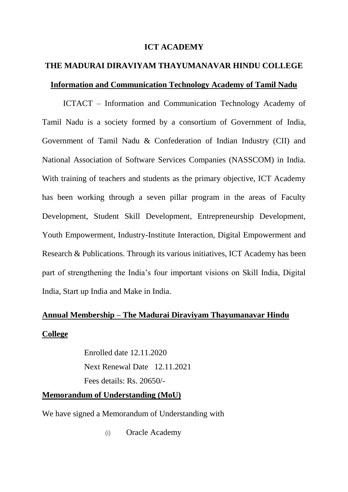#### **ICT ACADEMY**

# **THE MADURAI DIRAVIYAM THAYUMANAVAR HINDU COLLEGE Information and Communication Technology Academy of Tamil Nadu**

ICTACT – Information and Communication Technology Academy of Tamil Nadu is a society formed by a consortium of Government of India, Government of Tamil Nadu & Confederation of Indian Industry (CII) and National Association of Software Services Companies (NASSCOM) in India. With training of teachers and students as the primary objective, ICT Academy has been working through a seven pillar program in the areas of Faculty Development, Student Skill Development, Entrepreneurship Development, Youth Empowerment, Industry-Institute Interaction, Digital Empowerment and Research & Publications. Through its various initiatives, ICT Academy has been part of strengthening the India's four important visions on Skill India, Digital India, Start up India and Make in India.

### **Annual Membership – The Madurai Diraviyam Thayumanavar Hindu**

#### **College**

Enrolled date 12.11.2020 Next Renewal Date 12.11.2021 Fees details: Rs. 20650/-

#### **Memorandum of Understanding (MoU)**

We have signed a Memorandum of Understanding with

(i) Oracle Academy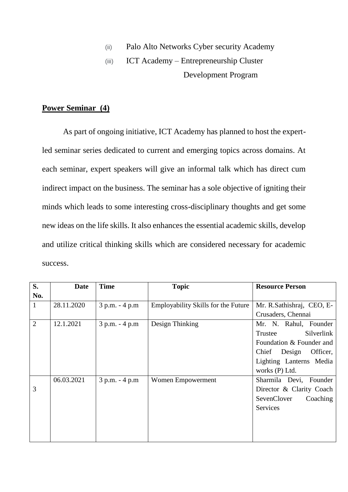- (ii) Palo Alto Networks Cyber security Academy
- (iii) ICT Academy Entrepreneurship Cluster Development Program

### **Power Seminar (4)**

As part of ongoing initiative, ICT Academy has planned to host the expertled seminar series dedicated to current and emerging topics across domains. At each seminar, expert speakers will give an informal talk which has direct cum indirect impact on the business. The seminar has a sole objective of igniting their minds which leads to some interesting cross-disciplinary thoughts and get some new ideas on the life skills. It also enhances the essential academic skills, develop and utilize critical thinking skills which are considered necessary for academic success.

| S.             | <b>Date</b> | <b>Time</b>    | <b>Topic</b>                               | <b>Resource Person</b>     |
|----------------|-------------|----------------|--------------------------------------------|----------------------------|
| No.            |             |                |                                            |                            |
| $\mathbf{1}$   | 28.11.2020  | 3 p.m. - 4 p.m | <b>Employability Skills for the Future</b> | Mr. R. Sathishraj, CEO, E- |
|                |             |                |                                            | Crusaders, Chennai         |
| $\overline{2}$ | 12.1.2021   | 3 p.m. - 4 p.m | Design Thinking                            | Mr. N. Rahul, Founder      |
|                |             |                |                                            | Silverlink<br>Trustee      |
|                |             |                |                                            | Foundation & Founder and   |
|                |             |                |                                            | Chief Design Officer,      |
|                |             |                |                                            | Lighting Lanterns Media    |
|                |             |                |                                            | works (P) Ltd.             |
|                | 06.03.2021  | 3 p.m. - 4 p.m | Women Empowerment                          | Sharmila Devi, Founder     |
| 3              |             |                |                                            | Director & Clarity Coach   |
|                |             |                |                                            | SevenClover<br>Coaching    |
|                |             |                |                                            | Services                   |
|                |             |                |                                            |                            |
|                |             |                |                                            |                            |
|                |             |                |                                            |                            |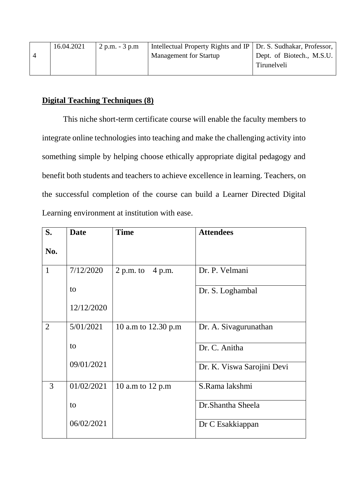| 16.04.2021 | $2 p.m. - 3 p.m.$ | Intellectual Property Rights and IP   Dr. S. Sudhakar, Professor, |                           |
|------------|-------------------|-------------------------------------------------------------------|---------------------------|
|            |                   | <b>Management for Startup</b>                                     | Dept. of Biotech., M.S.U. |
|            |                   |                                                                   | Tirunelveli               |
|            |                   |                                                                   |                           |

### **Digital Teaching Techniques (8)**

This niche short-term certificate course will enable the faculty members to integrate online technologies into teaching and make the challenging activity into something simple by helping choose ethically appropriate digital pedagogy and benefit both students and teachers to achieve excellence in learning. Teachers, on the successful completion of the course can build a Learner Directed Digital Learning environment at institution with ease.

| S.             | <b>Date</b> | <b>Time</b>         | <b>Attendees</b>           |
|----------------|-------------|---------------------|----------------------------|
| No.            |             |                     |                            |
| $\mathbf{1}$   | 7/12/2020   | 2 p.m. to $4$ p.m.  | Dr. P. Velmani             |
|                | to          |                     | Dr. S. Loghambal           |
|                | 12/12/2020  |                     |                            |
| $\overline{2}$ | 5/01/2021   | 10 a.m to 12.30 p.m | Dr. A. Sivagurunathan      |
|                | to          |                     | Dr. C. Anitha              |
|                | 09/01/2021  |                     | Dr. K. Viswa Sarojini Devi |
| 3              | 01/02/2021  | 10 a.m to 12 p.m    | S.Rama lakshmi             |
|                | to          |                     | Dr.Shantha Sheela          |
|                | 06/02/2021  |                     | Dr C Esakkiappan           |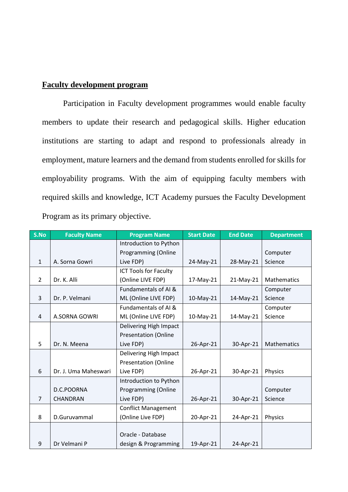### **Faculty development program**

Participation in Faculty development programmes would enable faculty members to update their research and pedagogical skills. Higher education institutions are starting to adapt and respond to professionals already in employment, mature learners and the demand from students enrolled for skills for employability programs. With the aim of equipping faculty members with required skills and knowledge, ICT Academy pursues the Faculty Development Program as its primary objective.

| S.No           | <b>Faculty Name</b>  | <b>Program Name</b>          | <b>Start Date</b> | <b>End Date</b> | <b>Department</b> |
|----------------|----------------------|------------------------------|-------------------|-----------------|-------------------|
|                |                      | Introduction to Python       |                   |                 |                   |
|                |                      | Programming (Online          |                   |                 | Computer          |
| $\mathbf{1}$   | A. Sorna Gowri       | Live FDP)                    | 24-May-21         | 28-May-21       | Science           |
|                |                      | <b>ICT Tools for Faculty</b> |                   |                 |                   |
| 2              | Dr. K. Alli          | (Online LIVE FDP)            | 17-May-21         | 21-May-21       | Mathematics       |
|                |                      | Fundamentals of AI &         |                   |                 | Computer          |
| 3              | Dr. P. Velmani       | ML (Online LIVE FDP)         | 10-May-21         | 14-May-21       | Science           |
|                |                      | Fundamentals of AI &         |                   |                 | Computer          |
| 4              | A.SORNA GOWRI        | ML (Online LIVE FDP)         | 10-May-21         | 14-May-21       | Science           |
|                |                      | Delivering High Impact       |                   |                 |                   |
|                |                      | <b>Presentation (Online</b>  |                   |                 |                   |
| 5              | Dr. N. Meena         | Live FDP)                    | 26-Apr-21         | 30-Apr-21       | Mathematics       |
|                |                      | Delivering High Impact       |                   |                 |                   |
|                |                      | <b>Presentation (Online</b>  |                   |                 |                   |
| 6              | Dr. J. Uma Maheswari | Live FDP)                    | 26-Apr-21         | 30-Apr-21       | Physics           |
|                |                      | Introduction to Python       |                   |                 |                   |
|                | D.C.POORNA           | <b>Programming (Online</b>   |                   |                 | Computer          |
| $\overline{7}$ | <b>CHANDRAN</b>      | Live FDP)                    | 26-Apr-21         | 30-Apr-21       | Science           |
|                |                      | <b>Conflict Management</b>   |                   |                 |                   |
| 8              | D.Guruvammal         | (Online Live FDP)            | 20-Apr-21         | 24-Apr-21       | Physics           |
|                |                      |                              |                   |                 |                   |
|                |                      | Oracle - Database            |                   |                 |                   |
| 9              | Dr Velmani P         | design & Programming         | 19-Apr-21         | 24-Apr-21       |                   |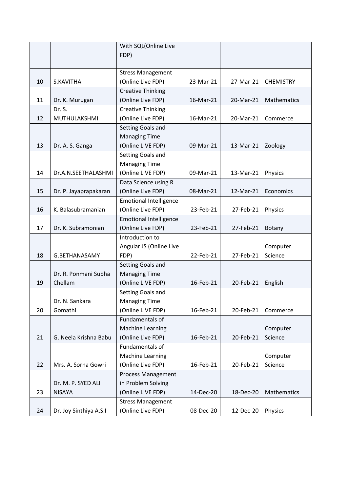|    |                                     | With SQL(Online Live<br>FDP)                  |           |           |                  |
|----|-------------------------------------|-----------------------------------------------|-----------|-----------|------------------|
|    |                                     | <b>Stress Management</b>                      |           |           |                  |
| 10 | S.KAVITHA                           | (Online Live FDP)                             | 23-Mar-21 | 27-Mar-21 | <b>CHEMISTRY</b> |
|    |                                     | <b>Creative Thinking</b>                      |           |           |                  |
| 11 | Dr. K. Murugan                      | (Online Live FDP)                             | 16-Mar-21 | 20-Mar-21 | Mathematics      |
|    | Dr. S.                              | <b>Creative Thinking</b>                      |           |           |                  |
| 12 | MUTHULAKSHMI                        | (Online Live FDP)                             | 16-Mar-21 | 20-Mar-21 | Commerce         |
|    |                                     | Setting Goals and                             |           |           |                  |
|    |                                     | <b>Managing Time</b>                          |           |           |                  |
| 13 | Dr. A. S. Ganga                     | (Online LIVE FDP)                             | 09-Mar-21 | 13-Mar-21 | Zoology          |
|    |                                     | Setting Goals and                             |           |           |                  |
|    |                                     | <b>Managing Time</b>                          |           |           |                  |
| 14 | Dr.A.N.SEETHALASHMI                 | (Online LIVE FDP)                             | 09-Mar-21 | 13-Mar-21 | Physics          |
|    |                                     | Data Science using R                          |           |           |                  |
| 15 | Dr. P. Jayaprapakaran               | (Online Live FDP)                             | 08-Mar-21 | 12-Mar-21 | Economics        |
|    |                                     | <b>Emotional Intelligence</b>                 |           |           |                  |
| 16 | K. Balasubramanian                  | (Online Live FDP)                             | 23-Feb-21 | 27-Feb-21 | Physics          |
|    |                                     | <b>Emotional Intelligence</b>                 |           |           |                  |
| 17 | Dr. K. Subramonian                  | (Online Live FDP)                             | 23-Feb-21 | 27-Feb-21 | <b>Botany</b>    |
|    |                                     | Introduction to                               |           |           |                  |
|    |                                     | Angular JS (Online Live                       |           |           | Computer         |
| 18 | G.BETHANASAMY                       | FDP)                                          | 22-Feb-21 | 27-Feb-21 | Science          |
|    |                                     | Setting Goals and                             |           |           |                  |
|    | Dr. R. Ponmani Subha                | <b>Managing Time</b>                          |           |           |                  |
| 19 | Chellam                             | (Online LIVE FDP)                             | 16-Feb-21 | 20-Feb-21 | English          |
|    |                                     | Setting Goals and                             |           |           |                  |
|    | Dr. N. Sankara                      | <b>Managing Time</b>                          |           |           |                  |
| 20 | Gomathi                             | (Online LIVE FDP)                             | 16-Feb-21 | 20-Feb-21 | Commerce         |
|    |                                     | Fundamentals of                               |           |           |                  |
|    |                                     | <b>Machine Learning</b>                       |           |           | Computer         |
| 21 | G. Neela Krishna Babu               | (Online Live FDP)                             | 16-Feb-21 | 20-Feb-21 | Science          |
|    |                                     | Fundamentals of                               |           |           |                  |
|    |                                     | Machine Learning                              |           |           | Computer         |
| 22 | Mrs. A. Sorna Gowri                 | (Online Live FDP)                             | 16-Feb-21 | 20-Feb-21 | Science          |
|    |                                     | Process Management                            |           |           |                  |
| 23 | Dr. M. P. SYED ALI<br><b>NISAYA</b> | in Problem Solving                            | 14-Dec-20 |           | Mathematics      |
|    |                                     | (Online LIVE FDP)                             |           | 18-Dec-20 |                  |
| 24 | Dr. Joy Sinthiya A.S.I              | <b>Stress Management</b><br>(Online Live FDP) | 08-Dec-20 | 12-Dec-20 | Physics          |
|    |                                     |                                               |           |           |                  |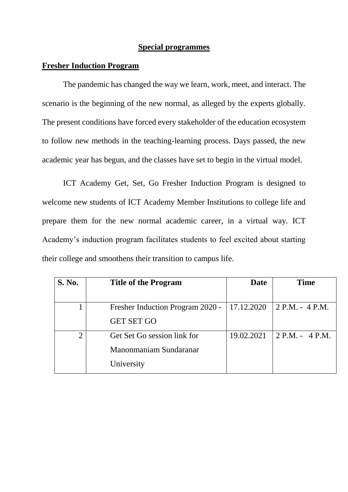#### **Special programmes**

#### **Fresher Induction Program**

The pandemic has changed the way we learn, work, meet, and interact. The scenario is the beginning of the new normal, as alleged by the experts globally. The present conditions have forced every stakeholder of the education ecosystem to follow new methods in the teaching-learning process. Days passed, the new academic year has begun, and the classes have set to begin in the virtual model.

ICT Academy Get, Set, Go Fresher Induction Program is designed to welcome new students of ICT Academy Member Institutions to college life and prepare them for the new normal academic career, in a virtual way. ICT Academy's induction program facilitates students to feel excited about starting their college and smoothens their transition to campus life.

| <b>S. No.</b>  | <b>Title of the Program</b>      | Date       | <b>Time</b>       |
|----------------|----------------------------------|------------|-------------------|
|                |                                  |            |                   |
|                | Fresher Induction Program 2020 - | 17.12.2020 | 2 P.M. - 4 P.M.   |
|                | <b>GET SET GO</b>                |            |                   |
| $\overline{2}$ | Get Set Go session link for      | 19.02.2021 | $2 P.M. - 4 P.M.$ |
|                | Manonmaniam Sundaranar           |            |                   |
|                | University                       |            |                   |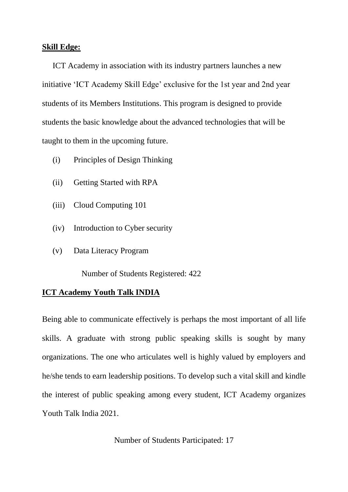#### **Skill Edge:**

ICT Academy in association with its industry partners launches a new initiative 'ICT Academy Skill Edge' exclusive for the 1st year and 2nd year students of its Members Institutions. This program is designed to provide students the basic knowledge about the advanced technologies that will be taught to them in the upcoming future.

- (i) Principles of Design Thinking
- (ii) Getting Started with RPA
- (iii) Cloud Computing 101
- (iv) Introduction to Cyber security
- (v) Data Literacy Program

Number of Students Registered: 422

#### **ICT Academy Youth Talk INDIA**

Being able to communicate effectively is perhaps the most important of all life skills. A graduate with strong public speaking skills is sought by many organizations. The one who articulates well is highly valued by employers and he/she tends to earn leadership positions. To develop such a vital skill and kindle the interest of public speaking among every student, ICT Academy organizes Youth Talk India 2021.

Number of Students Participated: 17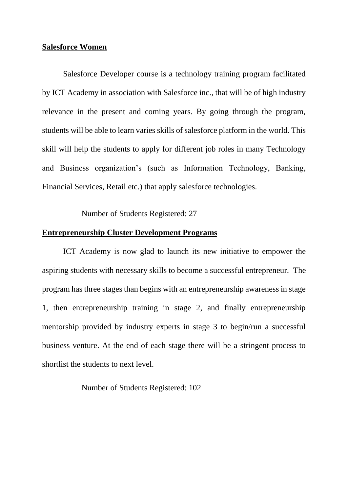#### **Salesforce Women**

Salesforce Developer course is a technology training program facilitated by ICT Academy in association with Salesforce inc., that will be of high industry relevance in the present and coming years. By going through the program, students will be able to learn varies skills of salesforce platform in the world. This skill will help the students to apply for different job roles in many Technology and Business organization's (such as Information Technology, Banking, Financial Services, Retail etc.) that apply salesforce technologies.

Number of Students Registered: 27

#### **Entrepreneurship Cluster Development Programs**

ICT Academy is now glad to launch its new initiative to empower the aspiring students with necessary skills to become a successful entrepreneur. The program has three stages than begins with an entrepreneurship awareness in stage 1, then entrepreneurship training in stage 2, and finally entrepreneurship mentorship provided by industry experts in stage 3 to begin/run a successful business venture. At the end of each stage there will be a stringent process to shortlist the students to next level.

#### Number of Students Registered: 102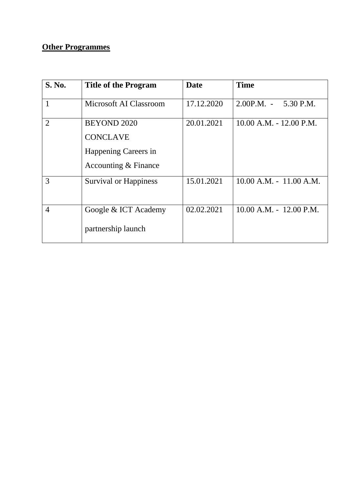### **Other Programmes**

| <b>S. No.</b>  | <b>Title of the Program</b>                                                           | Date       | <b>Time</b>                 |
|----------------|---------------------------------------------------------------------------------------|------------|-----------------------------|
|                | Microsoft AI Classroom                                                                | 17.12.2020 | $2.00P.M. -$<br>5.30 P.M.   |
| $\overline{2}$ | <b>BEYOND 2020</b><br><b>CONCLAVE</b><br>Happening Careers in<br>Accounting & Finance | 20.01.2021 | $10.00$ A.M. $- 12.00$ P.M. |
| 3              | <b>Survival or Happiness</b>                                                          | 15.01.2021 | $10.00$ A.M. $-11.00$ A.M.  |
| $\overline{4}$ | Google & ICT Academy<br>partnership launch                                            | 02.02.2021 | $10.00$ A.M. - $12.00$ P.M. |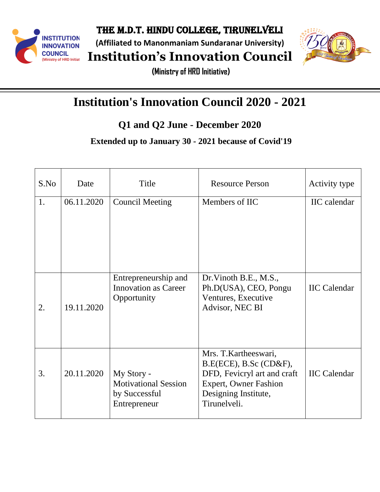

**(Affiliated to Manonmaniam Sundaranar University)**

**Institution's Innovation Council**



**(Ministry of HRD Initiative)**

# **Institution's Innovation Council 2020 - 2021**

**Q1 and Q2 June - December 2020**

**Extended up to January 30 - 2021 because of Covid'19**

| S.No | Date       | Title                                                                      | <b>Resource Person</b>                                                                                                                                | Activity type       |
|------|------------|----------------------------------------------------------------------------|-------------------------------------------------------------------------------------------------------------------------------------------------------|---------------------|
| 1.   | 06.11.2020 | <b>Council Meeting</b>                                                     | Members of IIC                                                                                                                                        | <b>IIC</b> calendar |
| 2.   | 19.11.2020 | Entrepreneurship and<br><b>Innovation as Career</b><br>Opportunity         | Dr. Vinoth B.E., M.S.,<br>Ph.D(USA), CEO, Pongu<br>Ventures, Executive<br>Advisor, NEC BI                                                             | <b>IIC</b> Calendar |
| 3.   | 20.11.2020 | My Story -<br><b>Motivational Session</b><br>by Successful<br>Entrepreneur | Mrs. T. Kartheeswari,<br>B.E(ECE), B.Sc(CD&F),<br>DFD, Fevicryl art and craft<br><b>Expert, Owner Fashion</b><br>Designing Institute,<br>Tirunelveli. | <b>IIC</b> Calendar |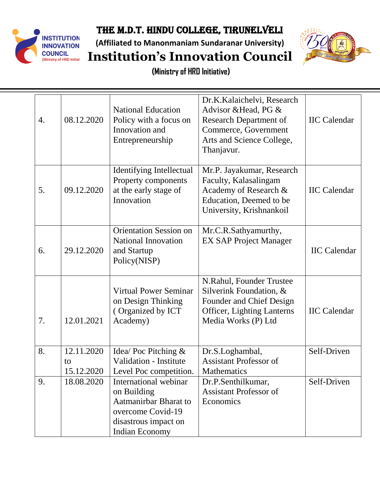

**(Affiliated to Manonmaniam Sundaranar University) Institution's Innovation Council**



| 4. | 08.12.2020                     | <b>National Education</b><br>Policy with a focus on<br>Innovation and<br>Entrepreneurship                                           | Dr.K.Kalaichelvi, Research<br>Advisor & Head, PG &<br><b>Research Department of</b><br>Commerce, Government<br>Arts and Science College,<br>Thanjavur. | <b>IIC</b> Calendar |
|----|--------------------------------|-------------------------------------------------------------------------------------------------------------------------------------|--------------------------------------------------------------------------------------------------------------------------------------------------------|---------------------|
| 5. | 09.12.2020                     | <b>Identifying Intellectual</b><br>Property components<br>at the early stage of<br>Innovation                                       | Mr.P. Jayakumar, Research<br>Faculty, Kalasalingam<br>Academy of Research &<br>Education, Deemed to be<br>University, Krishnankoil                     | <b>IIC</b> Calendar |
| 6. | 29.12.2020                     | <b>Orientation Session on</b><br><b>National Innovation</b><br>and Startup<br>Policy(NISP)                                          | Mr.C.R.Sathyamurthy,<br><b>EX SAP Project Manager</b>                                                                                                  | <b>IIC Calendar</b> |
| 7. | 12.01.2021                     | <b>Virtual Power Seminar</b><br>on Design Thinking<br>(Organized by ICT<br>Academy)                                                 | N.Rahul, Founder Trustee<br>Silverink Foundation, &<br>Founder and Chief Design<br><b>Officer, Lighting Lanterns</b><br>Media Works (P) Ltd            | <b>IIC</b> Calendar |
| 8. | 12.11.2020<br>to<br>15.12.2020 | Idea/Poc Pitching $\&$<br><b>Validation - Institute</b><br>Level Poc competition.                                                   | Dr.S.Loghambal,<br><b>Assistant Professor of</b><br><b>Mathematics</b>                                                                                 | Self-Driven         |
| 9. | 18.08.2020                     | International webinar<br>on Building<br>Aatmanirbar Bharat to<br>overcome Covid-19<br>disastrous impact on<br><b>Indian Economy</b> | Dr.P.Senthilkumar,<br><b>Assistant Professor of</b><br>Economics                                                                                       | Self-Driven         |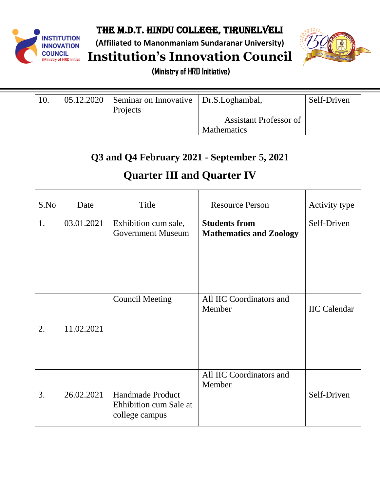

**(Affiliated to Manonmaniam Sundaranar University)**

**Institution's Innovation Council**



**(Ministry of HRD Initiative)**

| 05.12.2020 | Seminar on Innovative Dr.S. Loghambal, |                        | Self-Driven |
|------------|----------------------------------------|------------------------|-------------|
|            | Projects                               |                        |             |
|            |                                        | Assistant Professor of |             |
|            |                                        | <b>Mathematics</b>     |             |

## **Q3 and Q4 February 2021 - September 5, 2021**

# **Quarter III and Quarter IV**

| S.No | Date       | Title                                                        | <b>Resource Person</b>                                 | Activity type       |
|------|------------|--------------------------------------------------------------|--------------------------------------------------------|---------------------|
| 1.   | 03.01.2021 | Exhibition cum sale,<br><b>Government Museum</b>             | <b>Students from</b><br><b>Mathematics and Zoology</b> | Self-Driven         |
| 2.   | 11.02.2021 | <b>Council Meeting</b>                                       | All IIC Coordinators and<br>Member                     | <b>IIC</b> Calendar |
| 3.   | 26.02.2021 | Handmade Product<br>Ehhibition cum Sale at<br>college campus | All IIC Coordinators and<br>Member                     | Self-Driven         |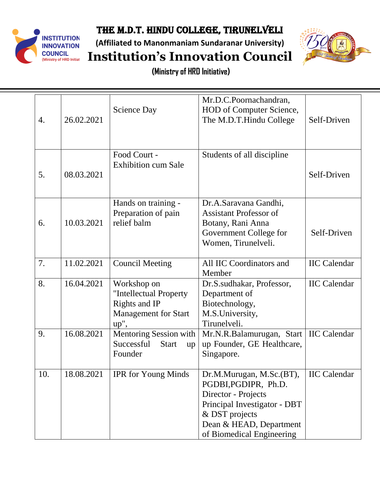

**(Affiliated to Manonmaniam Sundaranar University)**



**Institution's Innovation Council**

| 4.  | 26.02.2021 | <b>Science Day</b>                                                                               | Mr.D.C.Poornachandran,<br>HOD of Computer Science,<br>The M.D.T.Hindu College                                                                                                             | Self-Driven         |
|-----|------------|--------------------------------------------------------------------------------------------------|-------------------------------------------------------------------------------------------------------------------------------------------------------------------------------------------|---------------------|
| 5.  | 08.03.2021 | Food Court -<br><b>Exhibition cum Sale</b>                                                       | Students of all discipline                                                                                                                                                                | Self-Driven         |
| 6.  | 10.03.2021 | Hands on training -<br>Preparation of pain<br>relief balm                                        | Dr.A.Saravana Gandhi,<br><b>Assistant Professor of</b><br>Botany, Rani Anna<br>Government College for<br>Women, Tirunelveli.                                                              | Self-Driven         |
| 7.  | 11.02.2021 | <b>Council Meeting</b>                                                                           | All IIC Coordinators and<br>Member                                                                                                                                                        | <b>IIC Calendar</b> |
| 8.  | 16.04.2021 | Workshop on<br>"Intellectual Property<br>Rights and IP<br><b>Management for Start</b><br>$up$ ", | Dr.S.sudhakar, Professor,<br>Department of<br>Biotechnology,<br>M.S.University,<br>Tirunelveli.                                                                                           | <b>IIC Calendar</b> |
| 9.  | 16.08.2021 | Mentoring Session with<br>Successful<br><b>Start</b><br>up<br>Founder                            | Mr.N.R.Balamurugan, Start<br>up Founder, GE Healthcare,<br>Singapore.                                                                                                                     | <b>IIC Calendar</b> |
| 10. | 18.08.2021 | <b>IPR</b> for Young Minds                                                                       | $\vert$ Dr.M.Murugan, M.Sc.(BT),<br>PGDBI, PGDIPR, Ph.D.<br>Director - Projects<br>Principal Investigator - DBT<br>& DST projects<br>Dean & HEAD, Department<br>of Biomedical Engineering | <b>IIC</b> Calendar |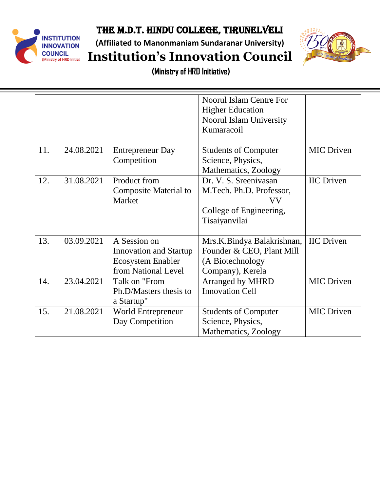

**(Affiliated to Manonmaniam Sundaranar University)**



**Institution's Innovation Council**

|     |            |                                                                                                  | <b>Noorul Islam Centre For</b><br><b>Higher Education</b><br><b>Noorul Islam University</b><br>Kumaracoil |                   |
|-----|------------|--------------------------------------------------------------------------------------------------|-----------------------------------------------------------------------------------------------------------|-------------------|
| 11. | 24.08.2021 | <b>Entrepreneur Day</b><br>Competition                                                           | <b>Students of Computer</b><br>Science, Physics,<br>Mathematics, Zoology                                  | <b>MIC Driven</b> |
| 12. | 31.08.2021 | Product from<br><b>Composite Material to</b><br>Market                                           | Dr. V. S. Sreenivasan<br>M.Tech. Ph.D. Professor,<br>VV<br>College of Engineering,<br>Tisaiyanvilai       | <b>IIC</b> Driven |
| 13. | 03.09.2021 | A Session on<br><b>Innovation and Startup</b><br><b>Ecosystem Enabler</b><br>from National Level | Mrs.K.Bindya Balakrishnan,<br>Founder & CEO, Plant Mill<br>(A Biotechnology<br>Company), Kerela           | <b>IIC</b> Driven |
| 14. | 23.04.2021 | Talk on "From<br>Ph.D/Masters thesis to<br>a Startup"                                            | <b>Arranged by MHRD</b><br><b>Innovation Cell</b>                                                         | <b>MIC Driven</b> |
| 15. | 21.08.2021 | World Entrepreneur<br>Day Competition                                                            | <b>Students of Computer</b><br>Science, Physics,<br>Mathematics, Zoology                                  | <b>MIC Driven</b> |